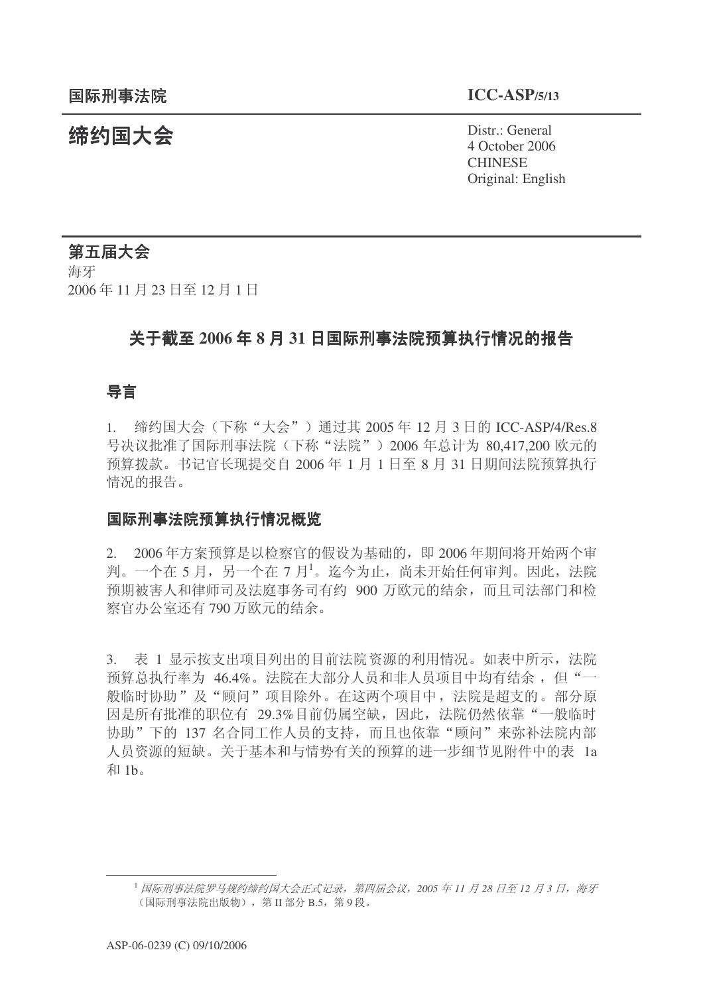**缔约国大会**<br>◆ Distr.: General 4 October 2006 **CHINESE** Original: English

第五届大会 海牙 2006年11月23日至12月1日

# 关于截至 2006 年 8 月 31 日国际刑事法院预算执行情况的报告

## 导言

1. 缔约国大会(下称"大会")通过其 2005年 12 月 3 日的 ICC-ASP/4/Res.8 号决议批准了国际刑事法院(下称"法院") 2006 年总计为 80,417,200 欧元的 预算拨款。书记官长现提交自 2006 年 1 月 1 日至 8 月 31 日期间法院预算执行 情况的报告。

#### 国际刑事法院预算执行情况概览

2. 2006年方案预算是以检察官的假设为基础的, 即 2006年期间将开始两个审 判。一个在 5 月, 另一个在 7 月 $^1$ 。迄今为止, 尚未开始任何审判。因此, 法院 预期被害人和律师司及法庭事务司有约 900 万欧元的结余,而且司法部门和检 察官办公室还有790 万欧元的结余。

3. 表 1 显示按支出项目列出的目前法院 资源的利用情况。如表中所示, 法院 预算总执行率为 46.4%。法院在大部分人员和非人员项目中均有结余, 但"一 般临时协助"及"顾问"项目除外。在这两个项目中, 法院是超支的。部分原 因是所有批准的职位有 29.3%目前仍属空缺, 因此, 法院仍然依靠"一般临时 协助"下的 137 名合同工作人员的支持,而且也依靠"顾问"来弥补法院内部 人员资源的短缺。关于基本和与情势有关的预算的进一步细节见附件中的表 1a 和 1b。

<sup>&</sup>lt;sup>1</sup> 国际刑事法院罗马规约缔约国大会正式记录,第四届会议, 2005 年11 月 28 日至12 月 3 日, 海牙 (国际刑事法院出版物), 第Ⅱ部分 B.5, 第9段。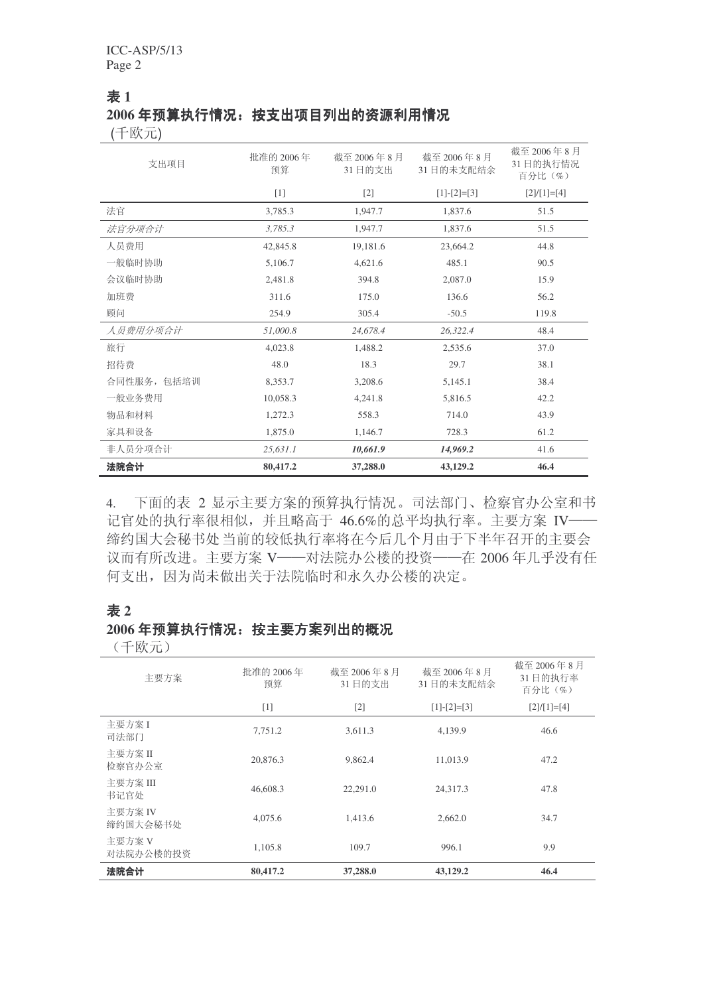#### 㸼 **1** 2006年预算执行情况: 按支出项目列出的资源利用情况

(千欧元)

| 支出项目        | 批准的 2006年<br>预算 | 截至 2006年8月<br>31日的支出 | 截至 2006年8月<br>31日的未支配结余 | 截至 2006年8月<br>31日的执行情况<br>百分比(%) |
|-------------|-----------------|----------------------|-------------------------|----------------------------------|
|             | $[1]$           | $[2]$                | $[1]-[2]=[3]$           | $[2]/[1]=[4]$                    |
| 法官          | 3,785.3         | 1,947.7              | 1,837.6                 | 51.5                             |
| 法官分项合计      | 3,785.3         | 1,947.7              | 1,837.6                 | 51.5                             |
| 人员费用        | 42,845.8        | 19,181.6             | 23,664.2                | 44.8                             |
| 一般临时协助      | 5,106.7         | 4,621.6              | 485.1                   | 90.5                             |
| 会议临时协助      | 2,481.8         | 394.8                | 2,087.0                 | 15.9                             |
| 加班费         | 311.6           | 175.0                | 136.6                   | 56.2                             |
| 顾问          | 254.9           | 305.4                | $-50.5$                 | 119.8                            |
| 人员费用分项合计    | 51,000.8        | 24,678.4             | 26,322.4                | 48.4                             |
| 旅行          | 4,023.8         | 1,488.2              | 2,535.6                 | 37.0                             |
| 招待费         | 48.0            | 18.3                 | 29.7                    | 38.1                             |
| 合同性服务, 包括培训 | 8,353.7         | 3,208.6              | 5,145.1                 | 38.4                             |
| 一般业务费用      | 10,058.3        | 4,241.8              | 5,816.5                 | 42.2                             |
| 物品和材料       | 1,272.3         | 558.3                | 714.0                   | 43.9                             |
| 家具和设备       | 1,875.0         | 1,146.7              | 728.3                   | 61.2                             |
| 非人员分项合计     | 25,631.1        | 10,661.9             | 14,969.2                | 41.6                             |
| 法院合计        | 80,417.2        | 37,288.0             | 43,129.2                | 46.4                             |

4. 下面的表 2 显示主要方案的预算执行情况。司法部门、检察官办公室和书 记官处的执行率很相似, 并且略高于 46.6%的总平均执行率。主要方案 IV—— 缔约国大会秘书处当前的较低执行率将在今后几个月由于下半年召开的主要会 议而有所改进。主要方案 V——对法院办公楼的投资——在 2006年几乎没有任 何支出,因为尚未做出关于法院临时和永久办公楼的决定。

#### 㸼 **2**

# 2006年预算执行情况: 按主要方案列出的概况

(千欧元)

| 主要方案                | 批准的 2006年<br>预算 | 截至 2006年8月<br>31日的支出 | 截至 2006年8月<br>31日的未支配结余 | 截至 2006年8月<br>31日的执行率<br>百分比 (%) |
|---------------------|-----------------|----------------------|-------------------------|----------------------------------|
|                     | $[1]$           | $[2]$                | $[1]-[2]=[3]$           | $[2]/[1]=[4]$                    |
| 主要方案 I<br>司法部门      | 7,751.2         | 3,611.3              | 4,139.9                 | 46.6                             |
| 主要方案 II<br>检察官办公室   | 20,876.3        | 9,862.4              | 11,013.9                | 47.2                             |
| 主要方案 III<br>书记官处    | 46,608.3        | 22,291.0             | 24,317.3                | 47.8                             |
| 主要方案 IV<br>缔约国大会秘书处 | 4,075.6         | 1,413.6              | 2,662.0                 | 34.7                             |
| 主要方案 V<br>对法院办公楼的投资 | 1,105.8         | 109.7                | 996.1                   | 9.9                              |
| 法院合计                | 80,417.2        | 37,288.0             | 43,129.2                | 46.4                             |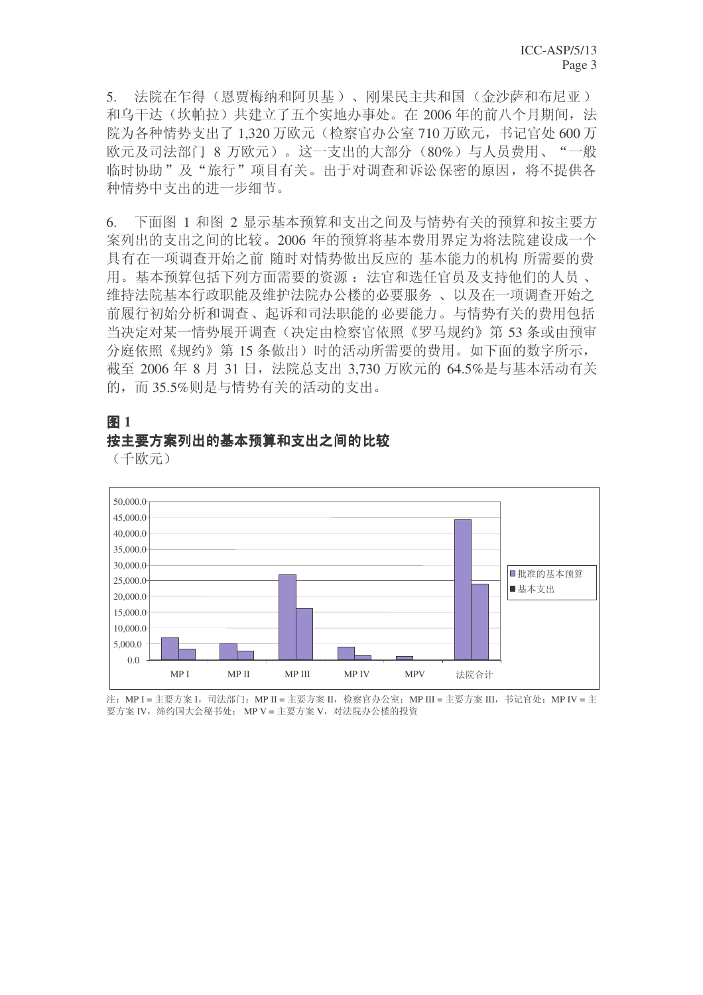5. 法院在乍得(恩贾梅纳和阿贝基)、刚果民主共和国(金沙萨和布尼亚) 和乌干达(坎帕拉)共建立了五个实地办事处。在 2006年的前八个月期间, 法 院为各种情势支出了 1,320 万欧元(检察官办公室 710 万欧元, 书记官处 600 万 欧元及司法部门 8 万欧元)。这一支出的大部分 (80%) 与人员费用、"一般 临时协助"及"旅行"项目有关。出于对调查和诉讼保密的原因,将不提供各 种情势中支出的讲一步细节。

6. 下面图 1 和图 2 显示基本预算和支出之间及与情势有关的预算和按主要方 案列出的支出之间的比较。2006年的预算将基本费用界定为将法院建设成一个 具有在一项调查开始之前 随时对情势做出反应的 基本能力的机构 所需要的费 用。基本预算包括下列方面需要的资源: 法官和选任官员及支持他们的人员、 维持法院基本行政职能及维护法院办公楼的必要服务、 以及在一项调查开始之 前履行初始分析和调查、起诉和司法职能的必要能力。与情势有关的费用包括 当决定对某一情势展开调杳(决定由检察官依照《罗马规约》第53 条或由预审 分庭依照《规约》第15条做出)时的活动所需要的费用。如下面的数字所示, 截至 2006 年 8 月 31 日,法院总支出 3.730 万欧元的 64.5%是与基本活动有关 的,而35.5%则是与情势有关的活动的支出。



#### 图 1 按主要方案列出的基本预算和支出之间的比较

(千欧元)

注: MP I = 主要方案 I, 司法部门: MP II = 主要方案 II, 检察官办公室; MP III = 主要方案 III, 书记官处; MP IV = 主 要方案 IV, 缔约国大会秘书处; MP V = 主要方案 V, 对法院办公楼的投资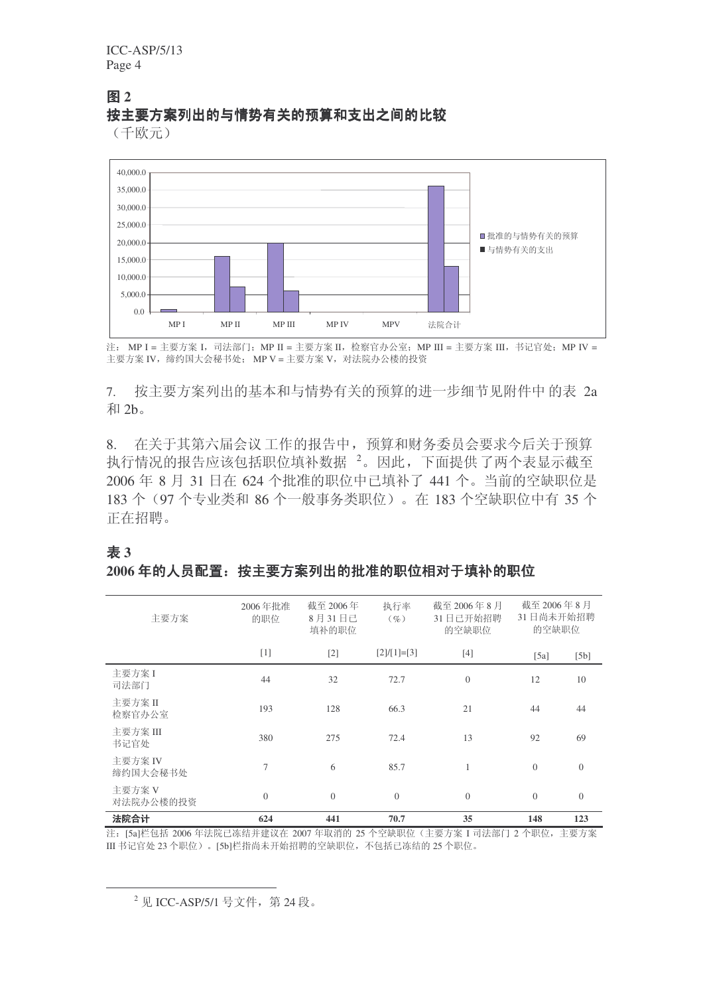ICC-ASP/5/13 Page 4

#### 图 2 按主要方案列出的与情势有关的预算和支出之间的比较

(千欧元)



注: MP I = 主要方案 I, 司法部门; MP II = 主要方案 II, 检察官办公室; MP III = 主要方案 III, 书记官处; MP IV = 主要方案 IV. 缔约国大会秘书处: MP V = 主要方案 V. 对法院办公楼的投资

7. 按主要方案列出的基本和与情势有关的预算的讲一步细节见附件中的表 2a 和 2h.

8. 在关于其第六届会议工作的报告中,预算和财务委员会要求今后关于预算 执行情况的报告应该包括职位填补数据<sup>2</sup>。因此,下面提供了两个表显示截至 2006 年 8 月 31 日在 624 个批准的职位中已填补了 441 个。当前的空缺职位是 183 个 (97 个专业类和 86 个一般事务类职位)。在 183 个空缺职位中有 35 个 正在招聘。

#### 㸼 **3**

#### $2006$ 年的人员配置:按主要方案列出的批准的职位相对于填补的职位

| 主要方案                | 2006年批准<br>的职位 | 截至 2006年<br>8月31日已<br>填补的职位 | 执行率<br>$(\%)$ | 截至 2006年8月<br>31日已开始招聘<br>的空缺职位 | 截至 2006年8月<br>31日尚未开始招聘<br>的空缺职位 |                |
|---------------------|----------------|-----------------------------|---------------|---------------------------------|----------------------------------|----------------|
|                     | $[1]$          | $[2]$                       | $[2]/[1]=[3]$ | $[4]$                           | [5a]                             | [5b]           |
| 主要方案 I<br>司法部门      | 44             | 32                          | 72.7          | $\mathbf{0}$                    | 12                               | 10             |
| 主要方案 II<br>检察官办公室   | 193            | 128                         | 66.3          | 21                              | 44                               | 44             |
| 主要方案 III<br>书记官处    | 380            | 275                         | 72.4          | 13                              | 92                               | 69             |
| 主要方案 IV<br>缔约国大会秘书处 | $\tau$         | 6                           | 85.7          | $\mathbf{1}$                    | $\overline{0}$                   | $\overline{0}$ |
| 主要方案 V<br>对法院办公楼的投资 | $\theta$       | $\overline{0}$              | $\Omega$      | $\overline{0}$                  | $\Omega$                         | $\Omega$       |
| 法院合计                | 624            | 441                         | 70.7          | 35                              | 148                              | 123            |

注: [5a]栏包括 2006 年法院己冻结并建议在 2007 年取消的 25 个空缺职位 (主要方案 I 司法部门 2 个职位, 主要方案 III 书记官处 23 个职位)。[5b]栏指尚未开始招聘的空缺职位, 不包括已冻结的 25 个职位。

 $^{2}$  见 ICC-ASP/5/1 号文件, 第 24 段。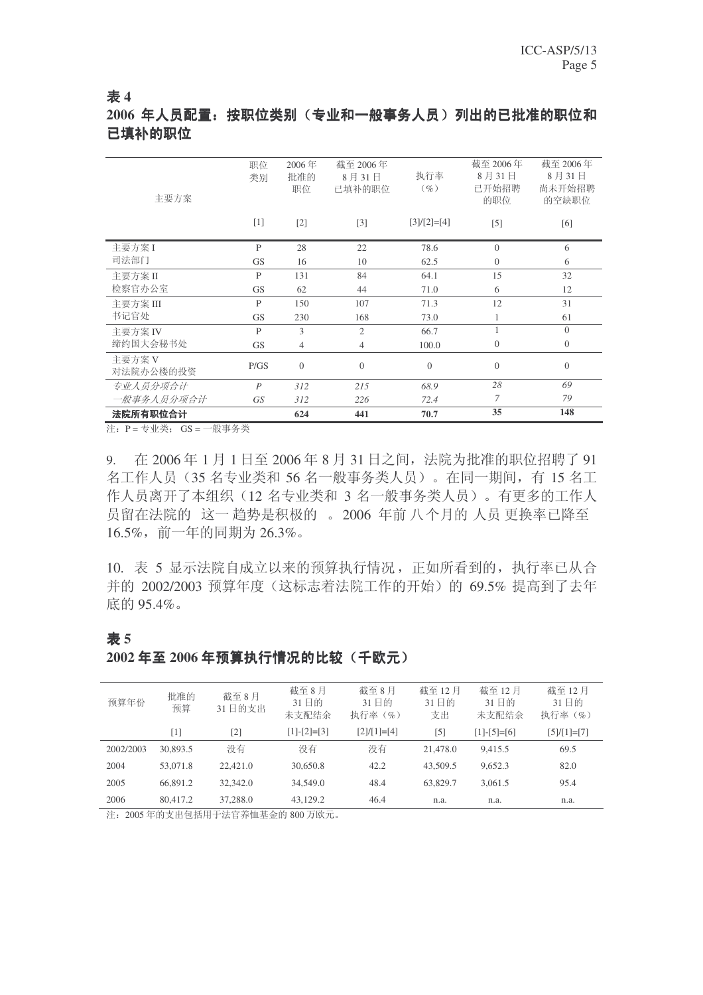#### 㸼 **4**

# 2006 年人员配置: 按职位类别(专业和一般事务人员)列出的已批准的职位和 已填补的职位

| 主要方案                | 职位<br>类别<br>$[1]$ | 2006年<br>批准的<br>职位<br>$\lceil 2 \rceil$ | 截至 2006年<br>8月31日<br>已填补的职位<br>$\lceil 3 \rceil$ | 执行率<br>$(\%)$<br>$[3]/[2]=[4]$ | 截至 2006年<br>8月31日<br>己开始招聘<br>的职位<br>$[5]$ | 截至 2006年<br>8月31日<br>尚未开始招聘<br>的空缺职位<br>[6] |
|---------------------|-------------------|-----------------------------------------|--------------------------------------------------|--------------------------------|--------------------------------------------|---------------------------------------------|
| 主要方案 I              | P                 | 28                                      | 22                                               | 78.6                           | $\Omega$                                   | 6                                           |
| 司法部门                | <b>GS</b>         | 16                                      | 10                                               | 62.5                           | $\theta$                                   | 6                                           |
| 主要方案 II             | P                 | 131                                     | 84                                               | 64.1                           | 15                                         | 32                                          |
| 检察官办公室              | <b>GS</b>         | 62                                      | 44                                               | 71.0                           | 6                                          | 12                                          |
| 主要方案 III            | P                 | 150                                     | 107                                              | 71.3                           | 12                                         | 31                                          |
| 书记官处                | <b>GS</b>         | 230                                     | 168                                              | 73.0                           | 1                                          | 61                                          |
| 主要方案 IV             | P                 | 3                                       | $\overline{c}$                                   | 66.7                           | 1                                          | $\Omega$                                    |
| 缔约国大会秘书处            | <b>GS</b>         | $\overline{4}$                          | $\overline{4}$                                   | 100.0                          | $\overline{0}$                             | $\overline{0}$                              |
| 主要方案 V<br>对法院办公楼的投资 | P/GS              | $\theta$                                | $\overline{0}$                                   | $\theta$                       | $\theta$                                   | $\theta$                                    |
| 专业人员分项合计            | $\boldsymbol{P}$  | 312                                     | 215                                              | 68.9                           | 28                                         | 69                                          |
| 一般事务人员分项合计          | GS <sup>-</sup>   | 312                                     | 226                                              | 72.4                           | 7                                          | 79                                          |
| 法院所有职位合计            |                   | 624                                     | 441                                              | 70.7                           | 35                                         | 148                                         |

注: P = 专业类; GS = 一般事务类

㸼 **5**

9. 在 2006年1月1日至 2006年8月31日之间, 法院为批准的职位招聘了 91 名工作人员 (35 名专业类和 56 名一般事务类人员)。在同一期间, 有 15 名工 作人员离开了本组织(12 名专业类和 3 名一般事务类人员)。有更多的工作人 员留在法院的 这一 趋势是积极的 。 2006 年前 八个月的 人员 更换率已降至  $16.5\%$ , 前一年的同期为 26.3%。

10. 表 5 显示法院自成立以来的预算执行情况, 正如所看到的, 执行率已从合 并的 2002/2003 预算年度 (这标志着法院工作的开始) 的 69.5% 提高到了去年 底的 95.4%。

#### 预算年份<br>预算年份 预算 截至8月 31日的支出 截至8月 31日的 未支配结余 截至8月 31 日的 执行率(%) 截至 12 月 31 日的 支出 截至 12 月 31 日的 未支配结余 截至 12 月 31 日的 执行率(%)  $[1]$   $[2]$   $[1]$ - $[2]$ = $[3]$   $[2]$ / $[1]$ = $[4]$   $[5]$   $[1]$ - $[5]$ = $[6]$   $[5]$ / $[1]$ = $[7]$ 2002/2003 30,893.5 没有 没有 69.5 2004 53,071.8 22,421.0 30,650.8 42.2 43,509.5 9,652.3 82.0 2005 66,891.2 32,342.0 34,549.0 48.4 63,829.7 3,061.5 95.4 2006 80,417.2 37,288.0 43,129.2 46.4 n.a. n.a. n.a.

#### 2002 年至 2006 年预算执行情况的比较(千欧元)

注: 2005年的支出包括用于法官养恤基金的 800 万欧元。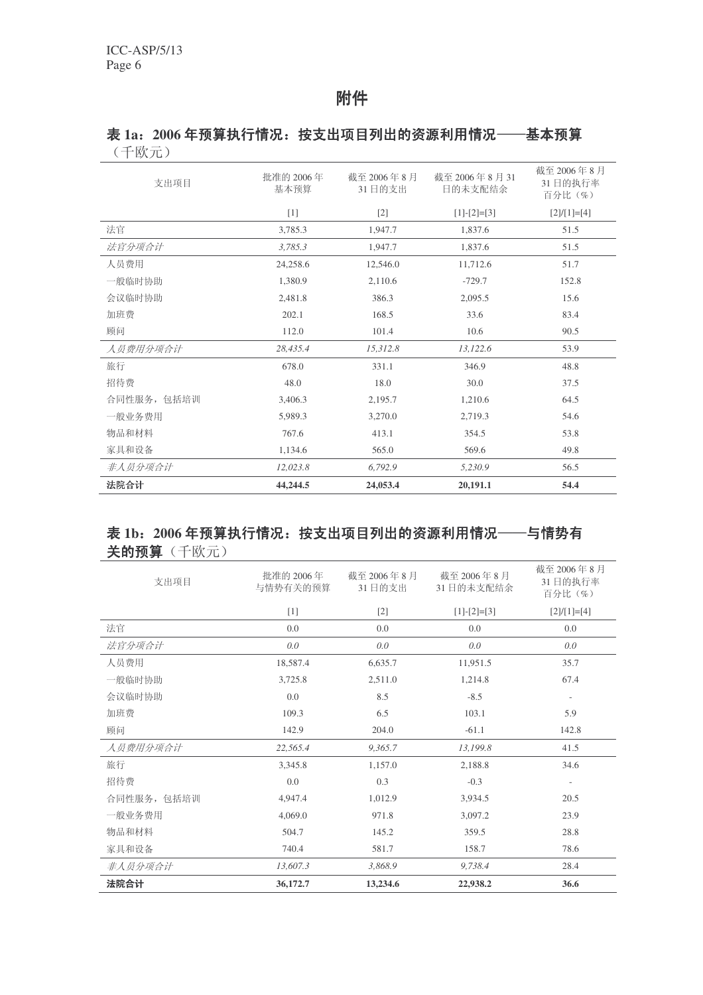# 附件

## 表 1a: 2006年预算执行情况: 按支出项目列出的资源利用情况––基本预算 (千欧元)

| 支出项目        | 批准的 2006年<br>基本预算 | 截至 2006年8月<br>31日的支出 | 截至 2006年8月31<br>日的未支配结余 | 截至 2006年8月<br>31日的执行率<br>百分比(%) |
|-------------|-------------------|----------------------|-------------------------|---------------------------------|
|             | $[1]$             | $[2]$                | $[1]-[2]=[3]$           | $[2]/[1]=[4]$                   |
| 法官          | 3,785.3           | 1,947.7              | 1,837.6                 | 51.5                            |
| 法官分项合计      | 3,785.3           | 1,947.7              | 1,837.6                 | 51.5                            |
| 人员费用        | 24,258.6          | 12,546.0             | 11,712.6                | 51.7                            |
| 一般临时协助      | 1,380.9           | 2,110.6              | $-729.7$                | 152.8                           |
| 会议临时协助      | 2,481.8           | 386.3                | 2,095.5                 | 15.6                            |
| 加班费         | 202.1             | 168.5                | 33.6                    | 83.4                            |
| 顾问          | 112.0             | 101.4                | 10.6                    | 90.5                            |
| 人员费用分项合计    | 28,435.4          | 15,312.8             | 13,122.6                | 53.9                            |
| 旅行          | 678.0             | 331.1                | 346.9                   | 48.8                            |
| 招待费         | 48.0              | 18.0                 | 30.0                    | 37.5                            |
| 合同性服务, 包括培训 | 3,406.3           | 2,195.7              | 1,210.6                 | 64.5                            |
| 一般业务费用      | 5,989.3           | 3,270.0              | 2,719.3                 | 54.6                            |
| 物品和材料       | 767.6             | 413.1                | 354.5                   | 53.8                            |
| 家具和设备       | 1,134.6           | 565.0                | 569.6                   | 49.8                            |
| 非人员分项合计     | 12,023.8          | 6,792.9              | 5,230.9                 | 56.5                            |
| 法院合计        | 44,244.5          | 24,053.4             | 20,191.1                | 54.4                            |

# 表 1b: 2006年预算执行情况: 按支出项目列出的资源利用情况——与情势有 关的预算(千欧元)

| 法院合计        | 36,172.7              | 13,234.6             | 22,938.2                | 36.6                            |
|-------------|-----------------------|----------------------|-------------------------|---------------------------------|
| 非人员分项合计     | 13,607.3              | 3,868.9              | 9,738.4                 | 28.4                            |
| 家具和设备       | 740.4                 | 581.7                | 158.7                   | 78.6                            |
| 物品和材料       | 504.7                 | 145.2                | 359.5                   | 28.8                            |
| 一般业务费用      | 4,069.0               | 971.8                | 3,097.2                 | 23.9                            |
| 合同性服务, 包括培训 | 4,947.4               | 1,012.9              | 3,934.5                 | 20.5                            |
| 招待费         | 0.0                   | 0.3                  | $-0.3$                  | $\overline{\phantom{a}}$        |
| 旅行          | 3,345.8               | 1,157.0              | 2,188.8                 | 34.6                            |
| 人员费用分项合计    | 22,565.4              | 9,365.7              | 13,199.8                | 41.5                            |
| 顾问          | 142.9                 | 204.0                | $-61.1$                 | 142.8                           |
| 加班费         | 109.3                 | 6.5                  | 103.1                   | 5.9                             |
| 会议临时协助      | 0.0                   | 8.5                  | $-8.5$                  | $\overline{\phantom{a}}$        |
| 一般临时协助      | 3,725.8               | 2,511.0              | 1,214.8                 | 67.4                            |
| 人员费用        | 18,587.4              | 6,635.7              | 11,951.5                | 35.7                            |
| 法官分项合计      | 0.0                   | 0.0                  | 0.0                     | 0.0                             |
| 法官          | 0.0                   | 0.0                  | 0.0                     | 0.0                             |
|             | $[1]$                 | $[2]$                | $[1]-[2]=[3]$           | $[2]/[1]=[4]$                   |
| 支出项目        | 批准的 2006年<br>与情势有关的预算 | 截至 2006年8月<br>31日的支出 | 截至 2006年8月<br>31日的未支配结余 | 截至 2006年8月<br>31日的执行率<br>百分比(%) |